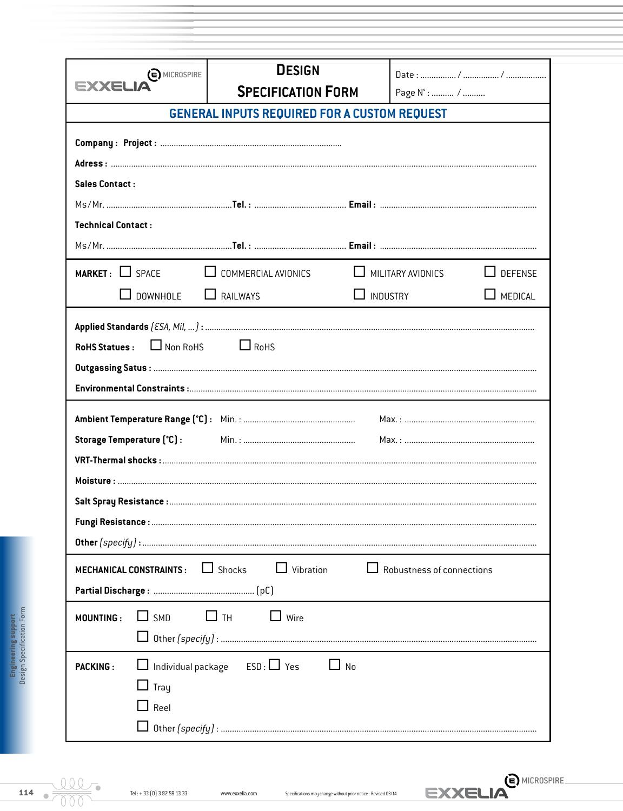| $\odot$ MICROSPIRE                            | <b>DESIGN</b><br><b>SPECIFICATION FORM</b>             |                 |                                  |                |  |  |  |  |  |  |
|-----------------------------------------------|--------------------------------------------------------|-----------------|----------------------------------|----------------|--|--|--|--|--|--|
| EXXEL                                         |                                                        |                 | Page N° :  /                     |                |  |  |  |  |  |  |
|                                               | <b>GENERAL INPUTS REQUIRED FOR A CUSTOM REQUEST</b>    |                 |                                  |                |  |  |  |  |  |  |
|                                               |                                                        |                 |                                  |                |  |  |  |  |  |  |
|                                               |                                                        |                 |                                  |                |  |  |  |  |  |  |
| <b>Sales Contact:</b>                         |                                                        |                 |                                  |                |  |  |  |  |  |  |
|                                               |                                                        |                 |                                  |                |  |  |  |  |  |  |
| <b>Technical Contact:</b>                     |                                                        |                 |                                  |                |  |  |  |  |  |  |
|                                               |                                                        |                 |                                  |                |  |  |  |  |  |  |
| $MARKET:$ SPACE                               | $\Box$ COMMERCIAL AVIONICS                             |                 | $\Box$ MILITARY AVIONICS         | $\Box$ DEFENSE |  |  |  |  |  |  |
| $\Box$ DOWNHOLE                               | $\Box$ RAILWAYS                                        | $\Box$ INDUSTRY |                                  | $\Box$ MEDICAL |  |  |  |  |  |  |
|                                               |                                                        |                 |                                  |                |  |  |  |  |  |  |
| Storage Temperature (°C) :                    |                                                        |                 |                                  |                |  |  |  |  |  |  |
|                                               |                                                        |                 |                                  |                |  |  |  |  |  |  |
| <b>MECHANICAL CONSTRAINTS:</b>                | $\Box$ Vibration<br>$\Box$ Shocks                      |                 | $\Box$ Robustness of connections |                |  |  |  |  |  |  |
| $\Box$ SMD<br><b>MOUNTING:</b>                | $\Box$ th<br>$\Box$ Wire                               |                 |                                  |                |  |  |  |  |  |  |
| <b>PACKING:</b><br>$\Box$ Tray<br>$\Box$ Reel | $\Box$ Individual package ESD: $\Box$ Yes<br>$\Box$ No |                 |                                  |                |  |  |  |  |  |  |

EXXELIA<sup>(E) MICROSPIRE.</sup>